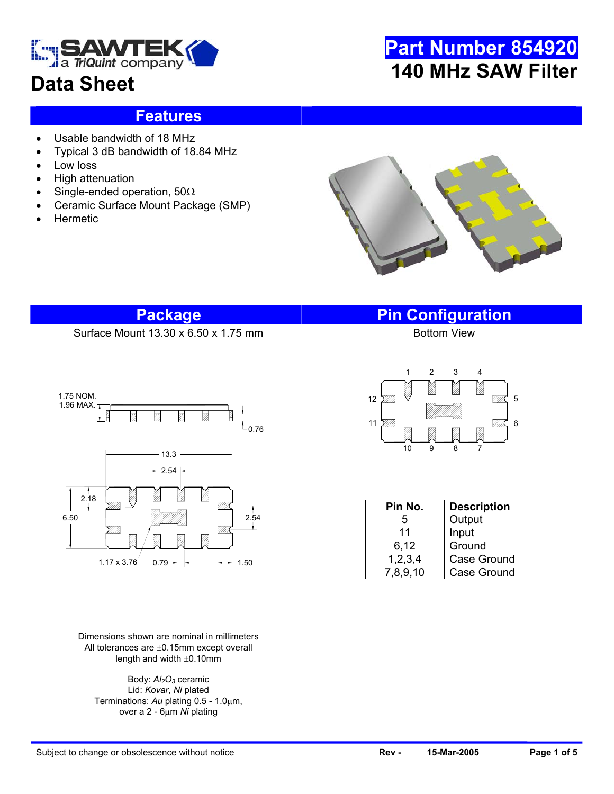

## **Data Sheet**

# **Part Number 854920 140 MHz SAW Filter**

### **Features**

- Usable bandwidth of 18 MHz
- Typical 3 dB bandwidth of 18.84 MHz
- Low loss
- High attenuation
- Single-ended operation, 50Ω
- Ceramic Surface Mount Package (SMP)
- **Hermetic**



### **Package Pin Configuration**

Surface Mount  $13.30 \times 6.50 \times 1.75$  mm



Dimensions shown are nominal in millimeters All tolerances are ±0.15mm except overall length and width ±0.10mm

Body:  $Al<sub>2</sub>O<sub>3</sub>$  ceramic Lid: *Kovar*, *Ni* plated Terminations: *Au* plating 0.5 - 1.0µm, over a 2 - 6µm *Ni* plating



| Pin No.    | <b>Description</b> |  |  |  |  |
|------------|--------------------|--|--|--|--|
| 5          | Output             |  |  |  |  |
| 11         | Input              |  |  |  |  |
| 6,12       | Ground             |  |  |  |  |
| 1, 2, 3, 4 | Case Ground        |  |  |  |  |
| 7,8,9,10   | <b>Case Ground</b> |  |  |  |  |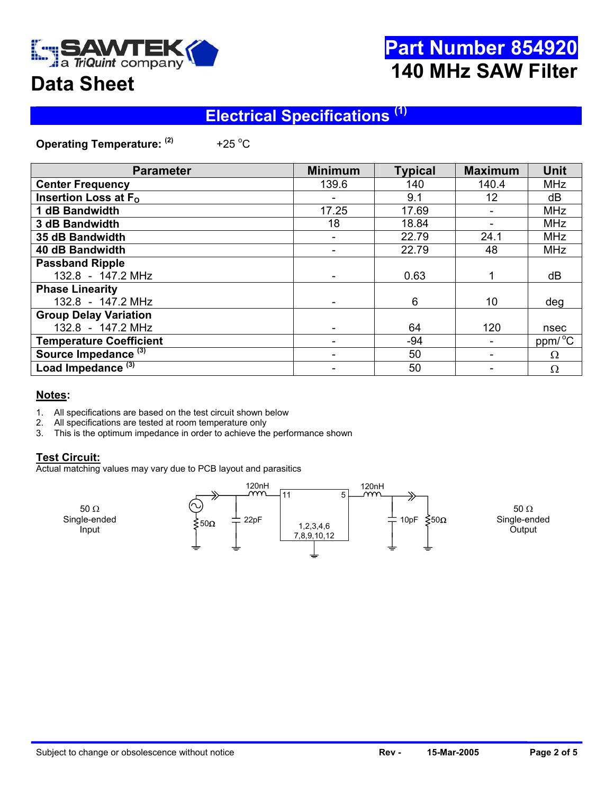

## **Part Number 854920 140 MHz SAW Filter**

## **Data Sheet**

### **Electrical Specifications (1)**

**Operating Temperature: (2)** +25 $^{\circ}$ C

| <b>Parameter</b>                | <b>Minimum</b> | <b>Typical</b> | <b>Maximum</b> | <b>Unit</b>         |
|---------------------------------|----------------|----------------|----------------|---------------------|
| <b>Center Frequency</b>         | 139.6          | 140            | 140.4          | <b>MHz</b>          |
| Insertion Loss at $F_{\Omega}$  |                | 9.1            | 12             | dB                  |
| 1 dB Bandwidth                  | 17.25          | 17.69          |                | <b>MHz</b>          |
| 3 dB Bandwidth                  | 18             | 18.84          |                | <b>MHz</b>          |
| 35 dB Bandwidth                 |                | 22.79          | 24.1           | <b>MHz</b>          |
| 40 dB Bandwidth                 |                | 22.79          | 48             | <b>MHz</b>          |
| <b>Passband Ripple</b>          |                |                |                |                     |
| 132.8 - 147.2 MHz               |                | 0.63           |                | dB                  |
| <b>Phase Linearity</b>          |                |                |                |                     |
| 132.8 - 147.2 MHz               |                | 6              | 10             | deg                 |
| <b>Group Delay Variation</b>    |                |                |                |                     |
| 132.8 - 147.2 MHz               |                | 64             | 120            | nsec                |
| <b>Temperature Coefficient</b>  |                | -94            |                | ppm/ <sup>o</sup> C |
| Source Impedance <sup>(3)</sup> |                | 50             |                | Ω                   |
| Load Impedance <sup>(3)</sup>   |                | 50             |                | Ω                   |

#### **Notes:**

- 1. All specifications are based on the test circuit shown below
- 2. All specifications are tested at room temperature only 3. This is the optimum impedance in order to achieve the
- This is the optimum impedance in order to achieve the performance shown

#### **Test Circuit:**

Actual matching values may vary due to PCB layout and parasitics

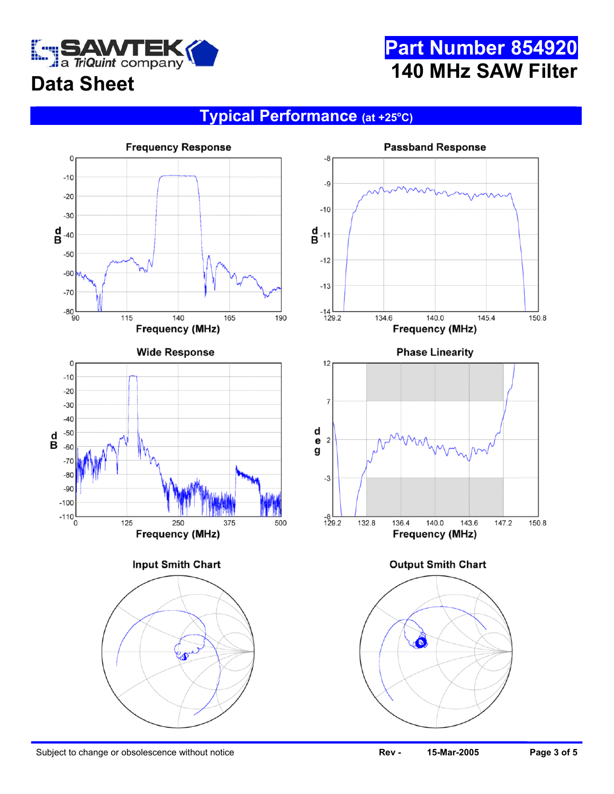

## **Part Number 854920 140 MHz SAW Filter**

# **Data Sheet**

### **Typical Performance (at +25o C)**

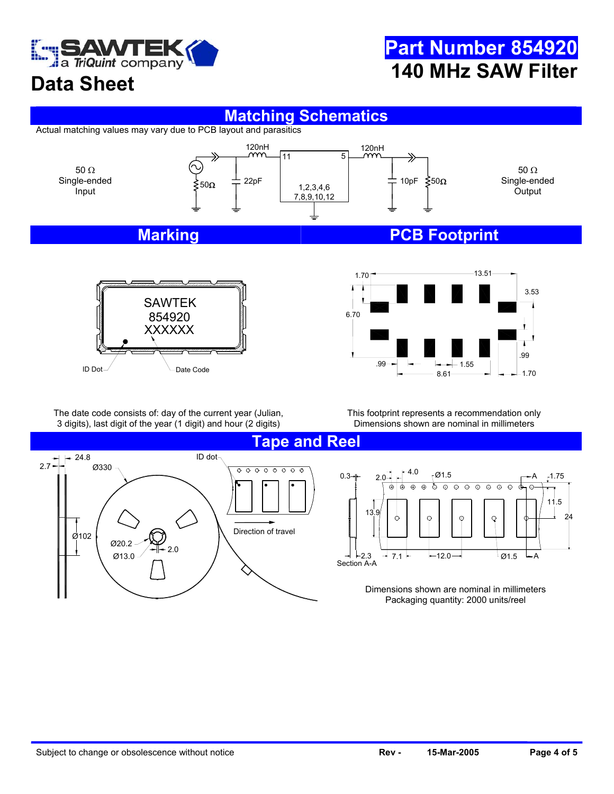

## **Part Number 854920 140 MHz SAW Filter**

### **Data Sheet**

#### **Matching Schematics**

Actual matching values may vary due to PCB layout and parasitics







The date code consists of: day of the current year (Julian, 3 digits), last digit of the year (1 digit) and hour (2 digits)

This footprint represents a recommendation only Dimensions shown are nominal in millimeters

> $\overline{\odot}$  $\overline{\odot}$  $\Theta$  $\overline{\odot}$  $\overline{\Theta}$  $\overline{\circ}$



A

Ē

 $\oplus$ 

24

1.75

11.5

 $- A$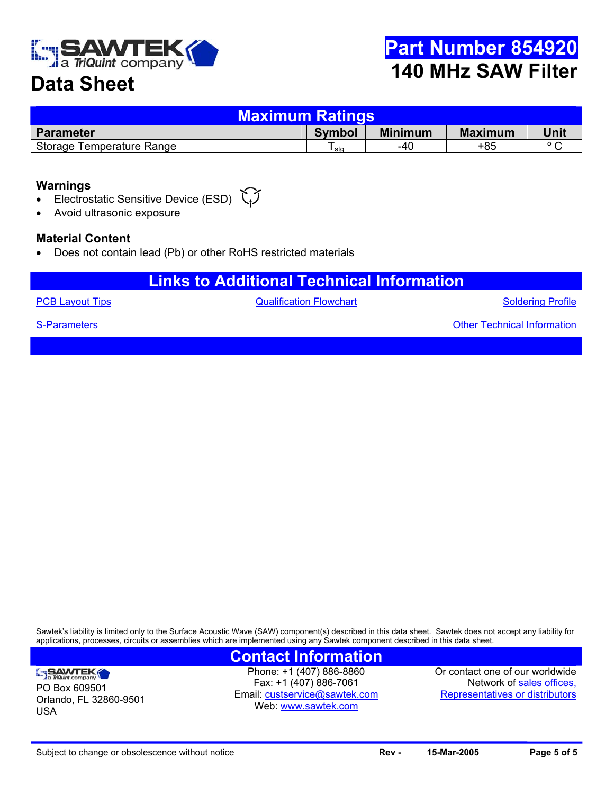

### **Data Sheet**

| <b>Maximum Ratings</b>    |        |                |                |                |  |  |  |
|---------------------------|--------|----------------|----------------|----------------|--|--|--|
| <b>Parameter</b>          | Symbol | <b>Minimum</b> | <b>Maximum</b> | Unit           |  |  |  |
| Storage Temperature Range | sta    | -40            | $+85$          | $\circ$ $\sim$ |  |  |  |

#### **Warnings**

- Electrostatic Sensitive Device (ESD)
- Avoid ultrasonic exposure

#### **Material Content**

• Does not contain lead (Pb) or other RoHS restricted materials

### **Links to Additional Technical Information**

**[PCB Layout Tips](http://www.triquint.com/company/divisions/sawtek/pcbtips.cfm) CONFIDENTIAL CONTRACT CONTRACT CONTRACT CONTRACT CONTRACT CONTRACT CONTRACT CONTRACT CONTRACT CONTRACT CONTRACT CONTRACT CONTRACT CONTRACT CONTRACT CONTRACT CONTRACT CONTRACT CONTRACT CONTRACT CONTRACT C** 

Soldering Profile

Other Technical Information

[S-Parameters](mailto:custservice@sawtek.com?subject=S-parameter request)

PO Box 609501

SAWTEK

USA

Orlando, FL 32860-9501

Sawtek's liability is limited only to the Surface Acoustic Wave (SAW) component(s) described in this data sheet. Sawtek does not accept any liability for applications, processes, circuits or assemblies which are implemented using any Sawtek component described in this data sheet.

#### **Contact Information**

Phone: +1 (407) 886-8860 Fax: +1 (407) 886-7061 Email: [custservice@sawtek.com](mailto:custservice@sawtek.com) Web: [www.sawtek.com](http://www.triquint.com/company/divisions/sawtek/)

Or contact one of our worldwide Network of [sales offices,](http://www.triquint.com/sales/) Representatives or distributors

Subject to change or obsolescence without notice **Rev - Rev - 15-Mar-2005 Page 5 of 5 Page 5 of 5**